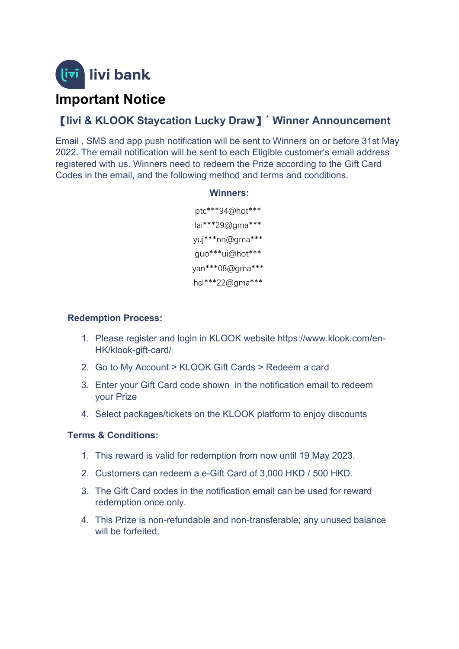

# **Important Notice**

## 【**livi & KLOOK Staycation Lucky Draw**】**\* Winner Announcement**

Email , SMS and app push notification will be sent to Winners on or before 31st May 2022. The email notification will be sent to each Eligible customer's email address registered with us. Winners need to redeem the Prize according to the Gift Card Codes in the email, and the following method and terms and conditions.

#### **Winners:**

ptc\*\*\*94@hot\*\*\* lai\*\*\*29@gma\*\*\* yuj\*\*\*nn@gma\*\*\* guo\*\*\*ui@hot\*\*\* yan\*\*\*08@gma\*\*\* hcl\*\*\*22@gma\*\*\*

#### **Redemption Process:**

- 1. Please register and login in KLOOK website https://www.klook.com/en-HK/klook-gift-card/
- 2. Go to My Account > KLOOK Gift Cards > Redeem a card
- 3. Enter your Gift Card code shown in the notification email to redeem your Prize
- 4. Select packages/tickets on the KLOOK platform to enjoy discounts

#### **Terms & Conditions:**

- 1. This reward is valid for redemption from now until 19 May 2023.
- 2. Customers can redeem a e-Gift Card of 3,000 HKD / 500 HKD.
- 3. The Gift Card codes in the notification email can be used for reward redemption once only.
- 4. This Prize is non-refundable and non-transferable; any unused balance will be forfeited.